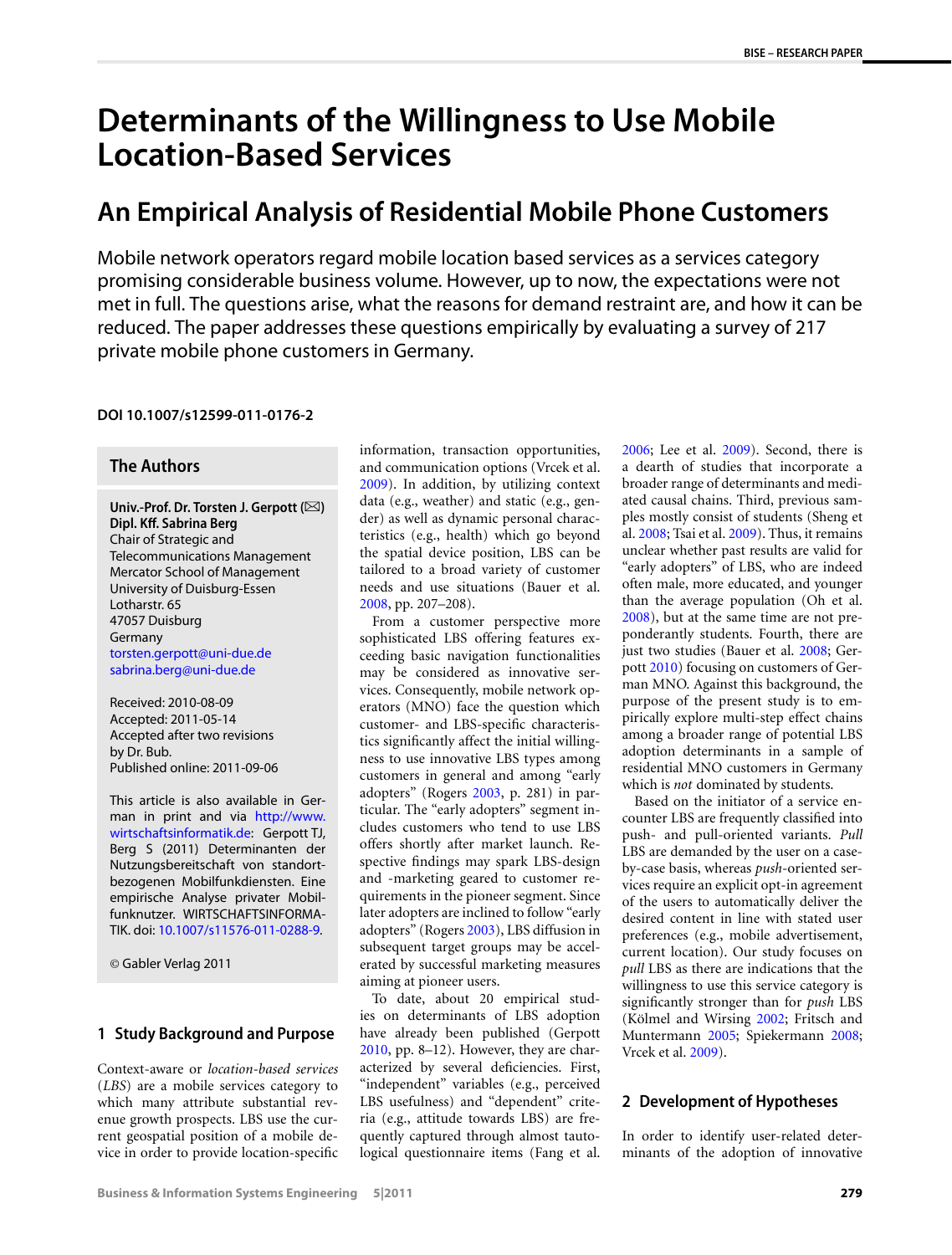# **Determinants of the Willingness to Use Mobile Location-Based Services**

## **An Empirical Analysis of Residential Mobile Phone Customers**

Mobile network operators regard mobile location based services as a services category promising considerable business volume. However, up to now, the expectations were not met in full. The questions arise, what the reasons for demand restraint are, and how it can be reduced. The paper addresses these questions empirically by evaluating a survey of 217 private mobile phone customers in Germany.

#### **DOI 10.1007/s12599-011-0176-2**

## **The Authors**

**Univ.-Prof. Dr. Torsten J. Gerpott (⊠) Dipl. Kff. Sabrina Berg** Chair of Strategic and Telecommunications Management Mercator School of Management University of Duisburg-Essen Lotharstr. 65 47057 Duisburg Germany [torsten.gerpott@uni-due.de](mailto:torsten.gerpott@uni-due.de) [sabrina.berg@uni-due.de](mailto:sabrina.berg@uni-due.de)

Received: 2010-08-09 Accepted: 2011-05-14 Accepted after two revisions by Dr. Bub. Published online: 2011-09-06

This article is also available in German in print and via [http://www.](http://www.wirtschaftsinformatik.de) [wirtschaftsinformatik.de:](http://www.wirtschaftsinformatik.de) Gerpott TJ, Berg S (2011) Determinanten der Nutzungsbereitschaft von standortbezogenen Mobilfunkdiensten. Eine empirische Analyse privater Mobilfunknutzer. WIRTSCHAFTSINFORMA-TIK. doi: [10.1007/s11576-011-0288-9](http://dx.doi.org/10.1007/s11576-011-0288-9).

© Gabler Verlag 2011

## **1 Study Background and Purpose**

Context-aware or *location-based services* (*LBS*) are a mobile services category to which many attribute substantial revenue growth prospects. LBS use the current geospatial position of a mobile device in order to provide location-specific information, transaction opportunities, and communication options (Vrcek et al. [2009](#page-8-0)). In addition, by utilizing context data (e.g., weather) and static (e.g., gender) as well as dynamic personal characteristics (e.g., health) which go beyond the spatial device position, LBS can be tailored to a broad variety of customer needs and use situations (Bauer et al. [2008](#page-8-1), pp. 207–208).

From a customer perspective more sophisticated LBS offering features exceeding basic navigation functionalities may be considered as innovative services. Consequently, mobile network operators (MNO) face the question which customer- and LBS-specific characteristics significantly affect the initial willingness to use innovative LBS types among customers in general and among "early adopters" (Rogers [2003,](#page-8-2) p. 281) in particular. The "early adopters" segment includes customers who tend to use LBS offers shortly after market launch. Respective findings may spark LBS-design and -marketing geared to customer requirements in the pioneer segment. Since later adopters are inclined to follow "early adopters" (Rogers [2003](#page-8-2)), LBS diffusion in subsequent target groups may be accelerated by successful marketing measures aiming at pioneer users.

To date, about 20 empirical studies on determinants of LBS adoption have already been published (Gerpott [2010](#page-8-3), pp. 8–12). However, they are characterized by several deficiencies. First, "independent" variables (e.g., perceived LBS usefulness) and "dependent" criteria (e.g., attitude towards LBS) are frequently captured through almost tautological questionnaire items (Fang et al. [2006](#page-8-4); Lee et al. [2009\)](#page-8-5). Second, there is a dearth of studies that incorporate a broader range of determinants and mediated causal chains. Third, previous samples mostly consist of students (Sheng et al. [2008;](#page-8-6) Tsai et al. [2009\)](#page-8-7). Thus, it remains unclear whether past results are valid for "early adopters" of LBS, who are indeed often male, more educated, and younger than the average population (Oh et al. [2008](#page-8-8)), but at the same time are not preponderantly students. Fourth, there are just two studies (Bauer et al. [2008](#page-8-1); Gerpott [2010\)](#page-8-3) focusing on customers of German MNO. Against this background, the purpose of the present study is to empirically explore multi-step effect chains among a broader range of potential LBS adoption determinants in a sample of residential MNO customers in Germany which is *not* dominated by students.

Based on the initiator of a service encounter LBS are frequently classified into push- and pull-oriented variants. *Pull* LBS are demanded by the user on a caseby-case basis, whereas *push*-oriented services require an explicit opt-in agreement of the users to automatically deliver the desired content in line with stated user preferences (e.g., mobile advertisement, current location). Our study focuses on *pull* LBS as there are indications that the willingness to use this service category is significantly stronger than for *push* LBS (Kölmel and Wirsing [2002;](#page-8-9) Fritsch and Muntermann [2005](#page-8-10); Spiekermann [2008;](#page-8-11) Vrcek et al. [2009\)](#page-8-0).

#### **2 Development of Hypotheses**

In order to identify user-related determinants of the adoption of innovative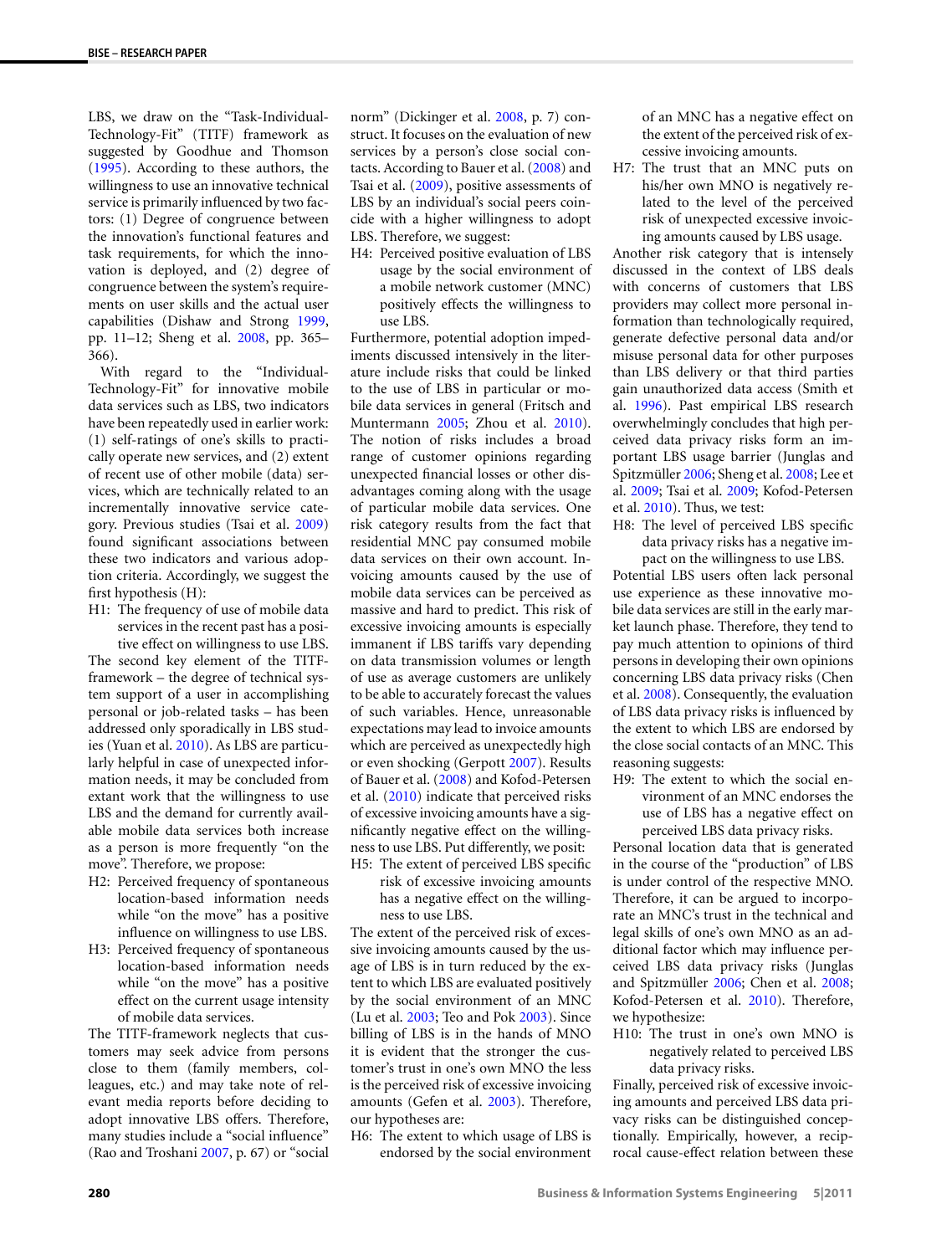LBS, we draw on the "Task-Individual-Technology-Fit" (TITF) framework as suggested by Goodhue and Thomson [\(1995](#page-8-12)). According to these authors, the willingness to use an innovative technical service is primarily influenced by two factors: (1) Degree of congruence between the innovation's functional features and task requirements, for which the innovation is deployed, and (2) degree of congruence between the system's requirements on user skills and the actual user capabilities (Dishaw and Strong [1999,](#page-8-13) pp. 11–12; Sheng et al. [2008](#page-8-6), pp. 365– 366).

With regard to the "Individual-Technology-Fit" for innovative mobile data services such as LBS, two indicators have been repeatedly used in earlier work: (1) self-ratings of one's skills to practically operate new services, and (2) extent of recent use of other mobile (data) services, which are technically related to an incrementally innovative service category. Previous studies (Tsai et al. [2009](#page-8-7)) found significant associations between these two indicators and various adoption criteria. Accordingly, we suggest the first hypothesis (H):

- H1: The frequency of use of mobile data services in the recent past has a positive effect on willingness to use LBS. The second key element of the TITFframework – the degree of technical system support of a user in accomplishing personal or job-related tasks – has been addressed only sporadically in LBS studies (Yuan et al. [2010](#page-8-14)). As LBS are particularly helpful in case of unexpected information needs, it may be concluded from extant work that the willingness to use LBS and the demand for currently available mobile data services both increase as a person is more frequently "on the move". Therefore, we propose:
- H2: Perceived frequency of spontaneous location-based information needs while "on the move" has a positive influence on willingness to use LBS.
- H3: Perceived frequency of spontaneous location-based information needs while "on the move" has a positive effect on the current usage intensity of mobile data services.

The TITF-framework neglects that customers may seek advice from persons close to them (family members, colleagues, etc.) and may take note of relevant media reports before deciding to adopt innovative LBS offers. Therefore, many studies include a "social influence" (Rao and Troshani [2007,](#page-8-15) p. 67) or "social norm" (Dickinger et al. [2008](#page-8-16), p. 7) construct. It focuses on the evaluation of new services by a person's close social contacts. According to Bauer et al. [\(2008\)](#page-8-1) and Tsai et al. ([2009\)](#page-8-7), positive assessments of LBS by an individual's social peers coincide with a higher willingness to adopt LBS. Therefore, we suggest:

H4: Perceived positive evaluation of LBS usage by the social environment of a mobile network customer (MNC) positively effects the willingness to use LBS.

Furthermore, potential adoption impediments discussed intensively in the literature include risks that could be linked to the use of LBS in particular or mobile data services in general (Fritsch and Muntermann [2005;](#page-8-10) Zhou et al. [2010](#page-8-17)). The notion of risks includes a broad range of customer opinions regarding unexpected financial losses or other disadvantages coming along with the usage of particular mobile data services. One risk category results from the fact that residential MNC pay consumed mobile data services on their own account. Invoicing amounts caused by the use of mobile data services can be perceived as massive and hard to predict. This risk of excessive invoicing amounts is especially immanent if LBS tariffs vary depending on data transmission volumes or length of use as average customers are unlikely to be able to accurately forecast the values of such variables. Hence, unreasonable expectations may lead to invoice amounts which are perceived as unexpectedly high or even shocking (Gerpott [2007](#page-8-18)). Results of Bauer et al. ([2008\)](#page-8-1) and Kofod-Petersen et al. [\(2010\)](#page-8-19) indicate that perceived risks of excessive invoicing amounts have a significantly negative effect on the willingness to use LBS. Put differently, we posit: H5: The extent of perceived LBS specific

risk of excessive invoicing amounts has a negative effect on the willingness to use LBS.

The extent of the perceived risk of excessive invoicing amounts caused by the usage of LBS is in turn reduced by the extent to which LBS are evaluated positively by the social environment of an MNC (Lu et al. [2003](#page-8-20); Teo and Pok [2003\)](#page-8-21). Since billing of LBS is in the hands of MNO it is evident that the stronger the customer's trust in one's own MNO the less is the perceived risk of excessive invoicing amounts (Gefen et al. [2003\)](#page-8-22). Therefore, our hypotheses are:

H6: The extent to which usage of LBS is endorsed by the social environment of an MNC has a negative effect on the extent of the perceived risk of excessive invoicing amounts.

H7: The trust that an MNC puts on his/her own MNO is negatively related to the level of the perceived risk of unexpected excessive invoicing amounts caused by LBS usage.

Another risk category that is intensely discussed in the context of LBS deals with concerns of customers that LBS providers may collect more personal information than technologically required, generate defective personal data and/or misuse personal data for other purposes than LBS delivery or that third parties gain unauthorized data access (Smith et al. [1996\)](#page-8-23). Past empirical LBS research overwhelmingly concludes that high perceived data privacy risks form an important LBS usage barrier (Junglas and Spitzmüller [2006;](#page-8-24) Sheng et al. [2008;](#page-8-6) Lee et al. [2009;](#page-8-5) Tsai et al. [2009;](#page-8-7) Kofod-Petersen et al. [2010](#page-8-19)). Thus, we test:

H8: The level of perceived LBS specific data privacy risks has a negative impact on the willingness to use LBS.

Potential LBS users often lack personal use experience as these innovative mobile data services are still in the early market launch phase. Therefore, they tend to pay much attention to opinions of third persons in developing their own opinions concerning LBS data privacy risks (Chen et al. [2008\)](#page-8-25). Consequently, the evaluation of LBS data privacy risks is influenced by the extent to which LBS are endorsed by the close social contacts of an MNC. This reasoning suggests:

H9: The extent to which the social environment of an MNC endorses the use of LBS has a negative effect on perceived LBS data privacy risks.

Personal location data that is generated in the course of the "production" of LBS is under control of the respective MNO. Therefore, it can be argued to incorporate an MNC's trust in the technical and legal skills of one's own MNO as an additional factor which may influence perceived LBS data privacy risks (Junglas and Spitzmüller [2006](#page-8-24); Chen et al. [2008;](#page-8-25) Kofod-Petersen et al. [2010\)](#page-8-19). Therefore, we hypothesize:

H10: The trust in one's own MNO is negatively related to perceived LBS data privacy risks.

Finally, perceived risk of excessive invoicing amounts and perceived LBS data privacy risks can be distinguished conceptionally. Empirically, however, a reciprocal cause-effect relation between these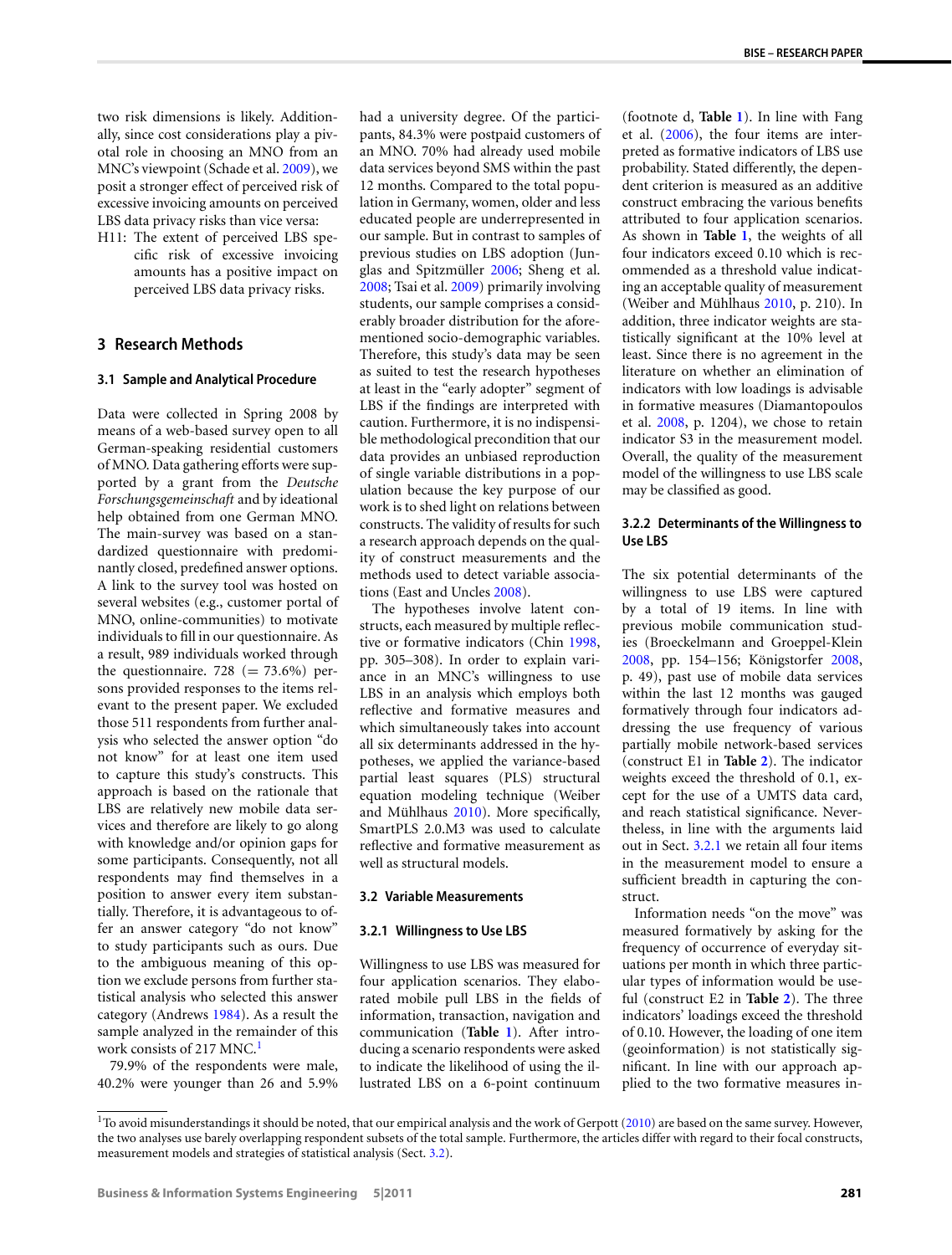H11: The extent of perceived LBS specific risk of excessive invoicing amounts has a positive impact on perceived LBS data privacy risks.

#### **3 Research Methods**

#### **3.1 Sample and Analytical Procedure**

Data were collected in Spring 2008 by means of a web-based survey open to all German-speaking residential customers of MNO. Data gathering efforts were supported by a grant from the *Deutsche Forschungsgemeinschaft* and by ideational help obtained from one German MNO. The main-survey was based on a standardized questionnaire with predominantly closed, predefined answer options. A link to the survey tool was hosted on several websites (e.g., customer portal of MNO, online-communities) to motivate individuals to fill in our questionnaire. As a result, 989 individuals worked through the questionnaire.  $728 (= 73.6%)$  persons provided responses to the items relevant to the present paper. We excluded those 511 respondents from further analysis who selected the answer option "do not know" for at least one item used to capture this study's constructs. This approach is based on the rationale that LBS are relatively new mobile data services and therefore are likely to go along with knowledge and/or opinion gaps for some participants. Consequently, not all respondents may find themselves in a position to answer every item substantially. Therefore, it is advantageous to offer an answer category "do not know" to study participants such as ours. Due to the ambiguous meaning of this option we exclude persons from further statistical analysis who selected this answer category (Andrews [1984](#page-7-0)). As a result the sample analyzed in the remainder of this work consists of 2[1](#page-2-0)7 MNC.<sup>1</sup>

<span id="page-2-0"></span>79.9% of the respondents were male, 40.2% were younger than 26 and 5.9% had a university degree. Of the participants, 84.3% were postpaid customers of an MNO. 70% had already used mobile data services beyond SMS within the past 12 months. Compared to the total population in Germany, women, older and less educated people are underrepresented in our sample. But in contrast to samples of previous studies on LBS adoption (Junglas and Spitzmüller [2006](#page-8-24); Sheng et al. [2008](#page-8-6); Tsai et al. [2009\)](#page-8-7) primarily involving students, our sample comprises a considerably broader distribution for the aforementioned socio-demographic variables. Therefore, this study's data may be seen as suited to test the research hypotheses at least in the "early adopter" segment of LBS if the findings are interpreted with caution. Furthermore, it is no indispensible methodological precondition that our data provides an unbiased reproduction of single variable distributions in a population because the key purpose of our work is to shed light on relations between constructs. The validity of results for such a research approach depends on the quality of construct measurements and the methods used to detect variable associations (East and Uncles [2008](#page-8-27)).

The hypotheses involve latent constructs, each measured by multiple reflective or formative indicators (Chin [1998,](#page-8-28) pp. 305–308). In order to explain variance in an MNC's willingness to use LBS in an analysis which employs both reflective and formative measures and which simultaneously takes into account all six determinants addressed in the hypotheses, we applied the variance-based partial least squares (PLS) structural equation modeling technique (Weiber and Mühlhaus [2010](#page-8-29)). More specifically, SmartPLS 2.0.M3 was used to calculate reflective and formative measurement as well as structural models.

#### <span id="page-2-2"></span><span id="page-2-1"></span>**3.2 Variable Measurements**

#### **3.2.1 Willingness to Use LBS**

Willingness to use LBS was measured for four application scenarios. They elaborated mobile pull LBS in the fields of information, transaction, navigation and communication (**Table [1](#page-3-0)**). After introducing a scenario respondents were asked to indicate the likelihood of using the illustrated LBS on a 6-point continuum

(footnote d, **Table [1](#page-3-0)**). In line with Fang et al. ([2006](#page-8-4)), the four items are interpreted as formative indicators of LBS use probability. Stated differently, the dependent criterion is measured as an additive construct embracing the various benefits attributed to four application scenarios. As shown in **Table [1](#page-3-0)**, the weights of all four indicators exceed 0.10 which is recommended as a threshold value indicating an acceptable quality of measurement (Weiber and Mühlhaus [2010,](#page-8-29) p. 210). In addition, three indicator weights are statistically significant at the 10% level at least. Since there is no agreement in the literature on whether an elimination of indicators with low loadings is advisable in formative measures (Diamantopoulos et al. [2008](#page-8-30), p. 1204), we chose to retain indicator S3 in the measurement model. Overall, the quality of the measurement model of the willingness to use LBS scale may be classified as good.

#### **3.2.2 Determinants of the Willingness to Use LBS**

The six potential determinants of the willingness to use LBS were captured by a total of 19 items. In line with previous mobile communication studies (Broeckelmann and Groeppel-Klein [2008](#page-8-31), pp. 154–156; Königstorfer [2008,](#page-8-32) p. 49), past use of mobile data services within the last 12 months was gauged formatively through four indicators addressing the use frequency of various partially mobile network-based services (construct E1 in **Table [2](#page-3-1)**). The indicator weights exceed the threshold of 0.1, except for the use of a UMTS data card, and reach statistical significance. Nevertheless, in line with the arguments laid out in Sect. [3.2.1](#page-2-1) we retain all four items in the measurement model to ensure a sufficient breadth in capturing the construct.

Information needs "on the move" was measured formatively by asking for the frequency of occurrence of everyday situations per month in which three particular types of information would be useful (construct E2 in **Table [2](#page-3-1)**). The three indicators' loadings exceed the threshold of 0.10. However, the loading of one item (geoinformation) is not statistically significant. In line with our approach applied to the two formative measures in-

 $1$ To avoid misunderstandings it should be noted, that our empirical analysis and the work of Gerpott [\(2010\)](#page-8-3) are based on the same survey. However, the two analyses use barely overlapping respondent subsets of the total sample. Furthermore, the articles differ with regard to their focal constructs, measurement models and strategies of statistical analysis (Sect. [3.2\)](#page-2-2).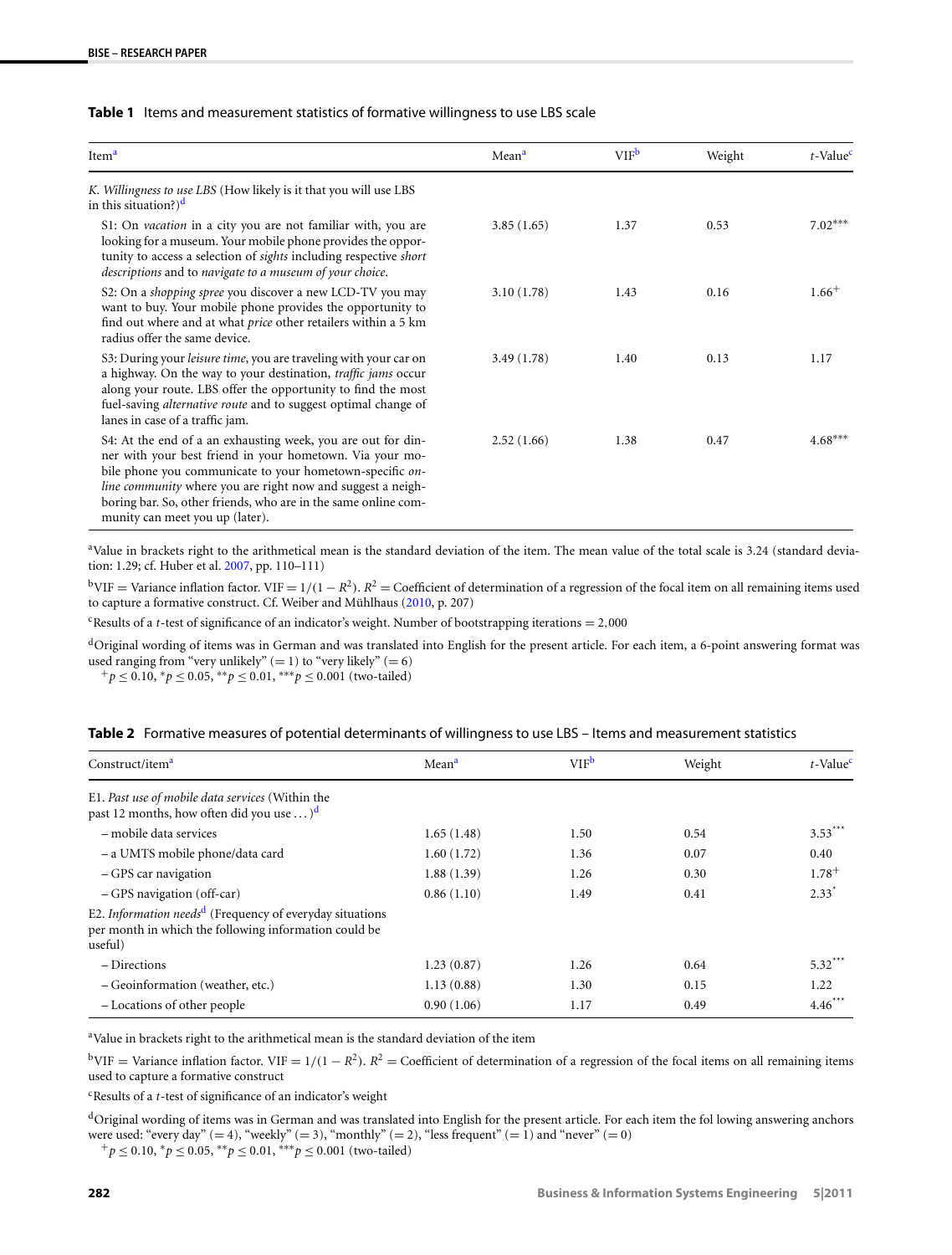## <span id="page-3-0"></span>**Table 1** Items and measurement statistics of formative willingness to use LBS scale

| Item <sup>a</sup>                                                                                                                                                                                                                                                                                                                                               | Mean <sup>a</sup> | <b>VIF</b> <sup>b</sup> | Weight | $t$ -Value <sup>c</sup> |
|-----------------------------------------------------------------------------------------------------------------------------------------------------------------------------------------------------------------------------------------------------------------------------------------------------------------------------------------------------------------|-------------------|-------------------------|--------|-------------------------|
| K. Willingness to use LBS (How likely is it that you will use LBS<br>in this situation?) $d$                                                                                                                                                                                                                                                                    |                   |                         |        |                         |
| S1: On <i>vacation</i> in a city you are not familiar with, you are<br>looking for a museum. Your mobile phone provides the oppor-<br>tunity to access a selection of sights including respective short<br>descriptions and to navigate to a museum of your choice.                                                                                             | 3.85(1.65)        | 1.37                    | 0.53   | $7.02***$               |
| S2: On a shopping spree you discover a new LCD-TV you may<br>want to buy. Your mobile phone provides the opportunity to<br>find out where and at what <i>price</i> other retailers within a 5 km<br>radius offer the same device.                                                                                                                               | 3.10(1.78)        | 1.43                    | 0.16   | $1.66^{+}$              |
| S3: During your <i>leisure time</i> , you are traveling with your car on<br>a highway. On the way to your destination, traffic jams occur<br>along your route. LBS offer the opportunity to find the most<br>fuel-saving alternative route and to suggest optimal change of<br>lanes in case of a traffic jam.                                                  | 3.49(1.78)        | 1.40                    | 0.13   | 1.17                    |
| S4: At the end of a an exhausting week, you are out for din-<br>ner with your best friend in your hometown. Via your mo-<br>bile phone you communicate to your hometown-specific on-<br><i>line community</i> where you are right now and suggest a neigh-<br>boring bar. So, other friends, who are in the same online com-<br>munity can meet you up (later). | 2.52(1.66)        | 1.38                    | 0.47   | $4.68***$               |

<span id="page-3-5"></span><span id="page-3-4"></span><span id="page-3-3"></span><span id="page-3-2"></span><sup>a</sup>Value in brackets right to the arithmetical mean is the standard deviation of the item. The mean value of the total scale is 3.24 (standard deviation: 1.29; cf. Huber et al. [2007,](#page-8-33) pp. 110–111)

<span id="page-3-1"></span> $b$ VIF = Variance inflation factor. VIF =  $1/(1 - R^2)$ .  $R^2$  = Coefficient of determination of a regression of the focal item on all remaining items used to capture a formative construct. Cf. Weiber and Mühlhaus ([2010](#page-8-29), p. 207)

<sup>c</sup>Results of a *t*-test of significance of an indicator's weight. Number of bootstrapping iterations = 2,000

dOriginal wording of items was in German and was translated into English for the present article. For each item, a 6-point answering format was used ranging from "very unlikely" (= 1) to "very likely" (= 6)  $^+p$  ≤ 0*.*01, \*\**p* ≤ 0*.*01, \*\*\**p* ≤ 0*.*001 (two-tailed)

#### **Table 2** Formative measures of potential determinants of willingness to use LBS – Items and measurement statistics

| Construct/item <sup>a</sup>                                                                                                              | Mean <sup>a</sup> | VIF <sup>b</sup> | Weight | $t$ -Value <sup>c</sup> |
|------------------------------------------------------------------------------------------------------------------------------------------|-------------------|------------------|--------|-------------------------|
| E1. Past use of mobile data services (Within the<br>past 12 months, how often did you use ) <sup>d</sup>                                 |                   |                  |        |                         |
| - mobile data services                                                                                                                   | 1.65(1.48)        | 1.50             | 0.54   | $3.53***$               |
| - a UMTS mobile phone/data card                                                                                                          | 1.60(1.72)        | 1.36             | 0.07   | 0.40                    |
| - GPS car navigation                                                                                                                     | 1.88(1.39)        | 1.26             | 0.30   | $1.78^{+}$              |
| $-GPS$ navigation (off-car)                                                                                                              | 0.86(1.10)        | 1.49             | 0.41   | $2.33*$                 |
| E2. Information needs <sup>d</sup> (Frequency of everyday situations<br>per month in which the following information could be<br>useful) |                   |                  |        |                         |
| – Directions                                                                                                                             | 1.23(0.87)        | 1.26             | 0.64   | $5.32***$               |
| $-$ Geoinformation (weather, etc.)                                                                                                       | 1.13(0.88)        | 1.30             | 0.15   | 1.22                    |
| - Locations of other people                                                                                                              | 0.90(1.06)        | 1.17             | 0.49   | $4.46***$               |

<span id="page-3-9"></span><span id="page-3-8"></span><span id="page-3-7"></span><span id="page-3-6"></span><sup>a</sup>Value in brackets right to the arithmetical mean is the standard deviation of the item

 $bVIF = Variance inflation factor. VIF = 1/(1 - R^2)$ .  $R^2 = Coefficient of determination of a regression of the focal items on all remaining items$ used to capture a formative construct

cResults of a *t*-test of significance of an indicator's weight

<sup>d</sup>Original wording of items was in German and was translated into English for the present article. For each item the fol lowing answering anchors were used: "every day" (<sup>=</sup> 4), "weekly" (<sup>=</sup> 3), "monthly" (<sup>=</sup> 2), "less frequent" (<sup>=</sup> 1) and "never" (<sup>=</sup> 0) <sup>+</sup>*<sup>p</sup>* <sup>≤</sup> <sup>0</sup>*.*10, <sup>∗</sup>*<sup>p</sup>* <sup>≤</sup> <sup>0</sup>*.*05, ∗∗*<sup>p</sup>* <sup>≤</sup> <sup>0</sup>*.*01, ∗∗∗*<sup>p</sup>* <sup>≤</sup> <sup>0</sup>*.*001 (two-tailed)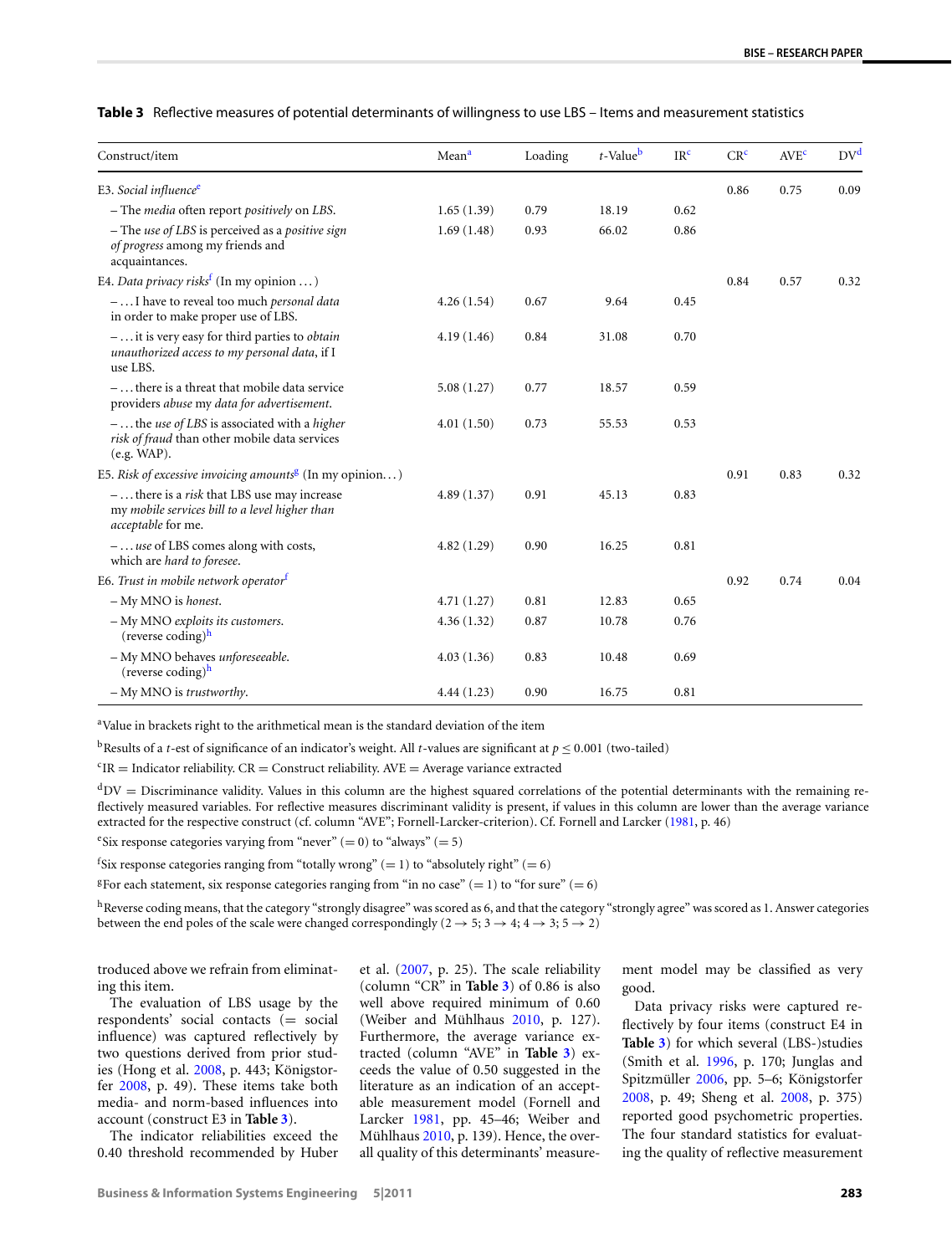<span id="page-4-8"></span>**Table 3** Reflective measures of potential determinants of willingness to use LBS – Items and measurement statistics

| Construct/item                                                                                                                  | Mean <sup>a</sup> | Loading | t-Value <sup>b</sup> | IR <sup>c</sup> | CR <sup>c</sup> | <b>AVE</b> <sup>c</sup> | $DV^d$ |
|---------------------------------------------------------------------------------------------------------------------------------|-------------------|---------|----------------------|-----------------|-----------------|-------------------------|--------|
| E3. Social influence <sup>e</sup>                                                                                               |                   |         |                      |                 | 0.86            | 0.75                    | 0.09   |
| - The <i>media</i> often report <i>positively</i> on LBS.                                                                       | 1.65(1.39)        | 0.79    | 18.19                | 0.62            |                 |                         |        |
| - The use of LBS is perceived as a positive sign<br>of progress among my friends and<br>acquaintances.                          | 1.69(1.48)        | 0.93    | 66.02                | 0.86            |                 |                         |        |
| E4. Data privacy risks <sup>f</sup> (In my opinion )                                                                            |                   |         |                      |                 | 0.84            | 0.57                    | 0.32   |
| -I have to reveal too much personal data<br>in order to make proper use of LBS.                                                 | 4.26(1.54)        | 0.67    | 9.64                 | 0.45            |                 |                         |        |
| - it is very easy for third parties to obtain<br>unauthorized access to my personal data, if I<br>use LBS.                      | 4.19(1.46)        | 0.84    | 31.08                | 0.70            |                 |                         |        |
| $-$ there is a threat that mobile data service<br>providers abuse my data for advertisement.                                    | 5.08(1.27)        | 0.77    | 18.57                | 0.59            |                 |                         |        |
| $-$ the <i>use of LBS</i> is associated with a <i>higher</i><br>risk of fraud than other mobile data services<br>$(e.g. WAP)$ . | 4.01(1.50)        | 0.73    | 55.53                | 0.53            |                 |                         |        |
| E5. Risk of excessive invoicing amounts <sup>8</sup> (In my opinion)                                                            |                   |         |                      |                 | 0.91            | 0.83                    | 0.32   |
| $-$ there is a <i>risk</i> that LBS use may increase<br>my mobile services bill to a level higher than<br>acceptable for me.    | 4.89(1.37)        | 0.91    | 45.13                | 0.83            |                 |                         |        |
| $- \dots$ use of LBS comes along with costs,<br>which are hard to foresee.                                                      | 4.82(1.29)        | 0.90    | 16.25                | 0.81            |                 |                         |        |
| E6. Trust in mobile network operator <sup>f</sup>                                                                               |                   |         |                      |                 | 0.92            | 0.74                    | 0.04   |
| $-My$ MNO is <i>honest</i> .                                                                                                    | 4.71(1.27)        | 0.81    | 12.83                | 0.65            |                 |                         |        |
| - My MNO exploits its customers.<br>(reverse coding) $h$                                                                        | 4.36(1.32)        | 0.87    | 10.78                | 0.76            |                 |                         |        |
| - My MNO behaves unforeseeable.<br>(reverse coding) $h$                                                                         | 4.03(1.36)        | 0.83    | 10.48                | 0.69            |                 |                         |        |
| - My MNO is trustworthy.                                                                                                        | 4.44(1.23)        | 0.90    | 16.75                | 0.81            |                 |                         |        |

<span id="page-4-5"></span><span id="page-4-4"></span><span id="page-4-3"></span><span id="page-4-2"></span><span id="page-4-1"></span><span id="page-4-0"></span><sup>a</sup>Value in brackets right to the arithmetical mean is the standard deviation of the item

<span id="page-4-6"></span><sup>b</sup>Results of a *t*-est of significance of an indicator's weight. All *t*-values are significant at  $p \le 0.001$  (two-tailed)

<span id="page-4-7"></span> $CIR = Indication reliability. CR = Construct reliability. AVE = Average variance extracted$ 

 $dDV =$  Discriminance validity. Values in this column are the highest squared correlations of the potential determinants with the remaining reflectively measured variables. For reflective measures discriminant validity is present, if values in this column are lower than the average variance extracted for the respective construct (cf. column "AVE"; Fornell-Larcker-criterion). Cf. Fornell and Larcker ([1981,](#page-8-34) p. 46)

<sup>e</sup>Six response categories varying from "never" (= 0) to "always" (= 5)

<sup>f</sup>Six response categories ranging from "totally wrong" (= 1) to "absolutely right" (= 6)

<sup>g</sup>For each statement, six response categories ranging from "in no case" (= 1) to "for sure" (= 6)

h Reverse coding means, that the category "strongly disagree" was scored as 6, and that the category "strongly agree" was scored as 1. Answer categories between the end poles of the scale were changed correspondingly ( $2 \rightarrow 5$ ;  $3 \rightarrow 4$ ;  $4 \rightarrow 3$ ;  $5 \rightarrow 2$ )

troduced above we refrain from eliminating this item.

The evaluation of LBS usage by the respondents' social contacts (= social influence) was captured reflectively by two questions derived from prior studies (Hong et al. [2008](#page-8-35), p. 443; Königstorfer [2008,](#page-8-32) p. 49). These items take both media- and norm-based influences into account (construct E3 in **Table [3](#page-4-8)**).

The indicator reliabilities exceed the 0.40 threshold recommended by Huber et al. [\(2007](#page-8-33), p. 25). The scale reliability (column "CR" in **Table [3](#page-4-8)**) of 0.86 is also well above required minimum of 0.60 (Weiber and Mühlhaus [2010](#page-8-29), p. 127). Furthermore, the average variance extracted (column "AVE" in **Table [3](#page-4-8)**) exceeds the value of 0.50 suggested in the literature as an indication of an acceptable measurement model (Fornell and Larcker [1981,](#page-8-34) pp. 45–46; Weiber and Mühlhaus [2010,](#page-8-29) p. 139). Hence, the overall quality of this determinants' measurement model may be classified as very good.

Data privacy risks were captured reflectively by four items (construct E4 in **Table [3](#page-4-8)**) for which several (LBS-)studies (Smith et al. [1996](#page-8-23), p. 170; Junglas and Spitzmüller [2006,](#page-8-24) pp. 5–6; Königstorfer [2008](#page-8-32), p. 49; Sheng et al. [2008](#page-8-6), p. 375) reported good psychometric properties. The four standard statistics for evaluating the quality of reflective measurement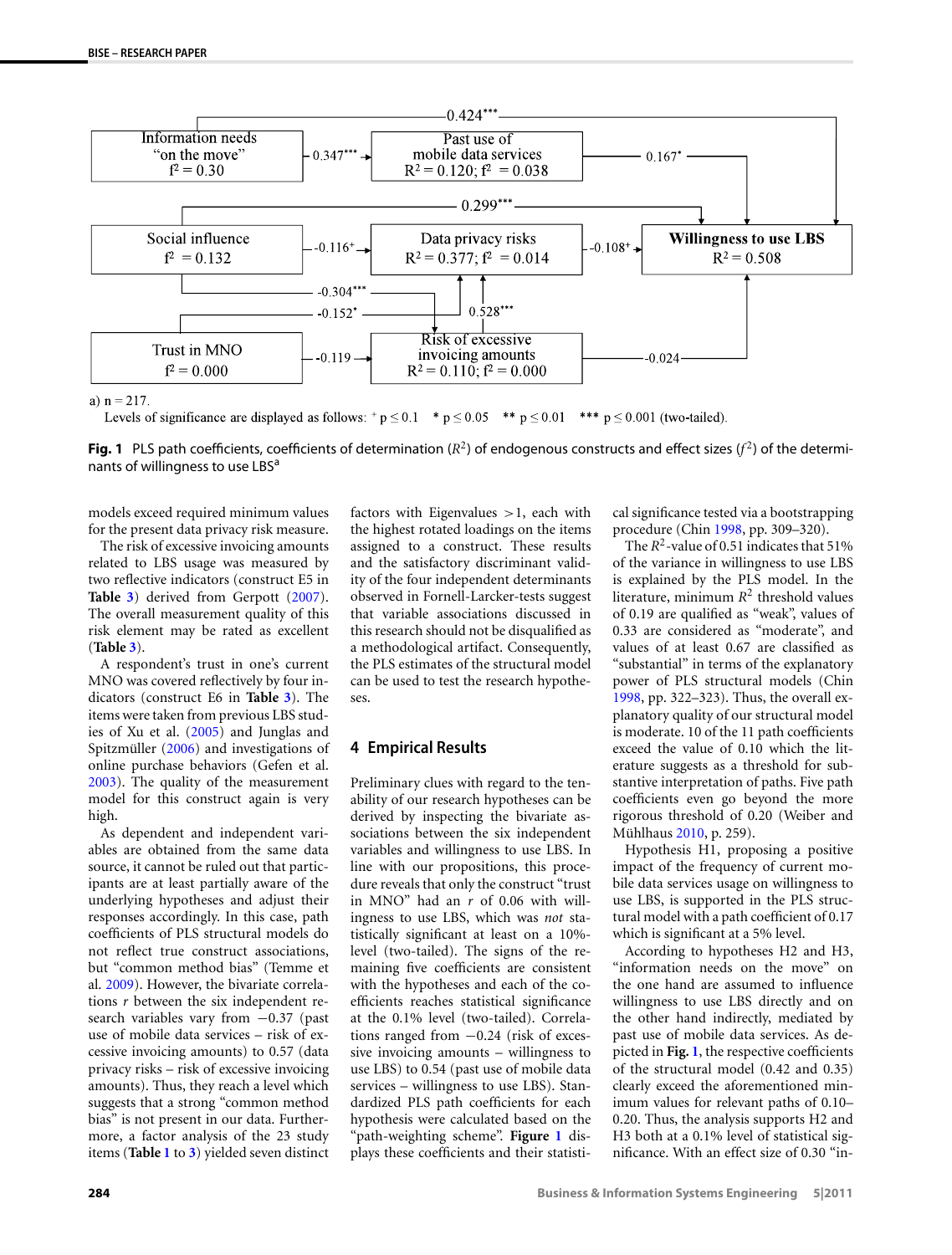

<span id="page-5-0"></span>a)  $n = 217$ .

Levels of significance are displayed as follows:  $+p \le 0.1$  \*  $p \le 0.05$  \*\*  $p \le 0.01$  \*\*\*  $p \le 0.001$  (two-tailed).

**Fig. 1** PLS path coefficients, coefficients of determination  $(R^2)$  of endogenous constructs and effect sizes  $(f^2)$  of the determinants of willingness to use LBS<sup>a</sup>

models exceed required minimum values for the present data privacy risk measure.

The risk of excessive invoicing amounts related to LBS usage was measured by two reflective indicators (construct E5 in **Table [3](#page-4-8)**) derived from Gerpott ([2007](#page-8-18)). The overall measurement quality of this risk element may be rated as excellent (**Table [3](#page-4-8)**).

A respondent's trust in one's current MNO was covered reflectively by four indicators (construct E6 in **Table [3](#page-4-8)**). The items were taken from previous LBS studies of Xu et al. [\(2005](#page-8-36)) and Junglas and Spitzmüller [\(2006\)](#page-8-24) and investigations of online purchase behaviors (Gefen et al. [2003](#page-8-22)). The quality of the measurement model for this construct again is very high.

As dependent and independent variables are obtained from the same data source, it cannot be ruled out that participants are at least partially aware of the underlying hypotheses and adjust their responses accordingly. In this case, path coefficients of PLS structural models do not reflect true construct associations, but "common method bias" (Temme et al. [2009](#page-8-37)). However, the bivariate correlations *r* between the six independent research variables vary from  $−0.37$  (past use of mobile data services – risk of excessive invoicing amounts) to 0.57 (data privacy risks – risk of excessive invoicing amounts). Thus, they reach a level which suggests that a strong "common method bias" is not present in our data. Furthermore, a factor analysis of the 23 study items (**Table [1](#page-3-0)** to **[3](#page-4-8)**) yielded seven distinct factors with Eigenvalues *>*1, each with the highest rotated loadings on the items assigned to a construct. These results and the satisfactory discriminant validity of the four independent determinants observed in Fornell-Larcker-tests suggest that variable associations discussed in this research should not be disqualified as a methodological artifact. Consequently, the PLS estimates of the structural model can be used to test the research hypotheses.

#### **4 Empirical Results**

Preliminary clues with regard to the tenability of our research hypotheses can be derived by inspecting the bivariate associations between the six independent variables and willingness to use LBS. In line with our propositions, this procedure reveals that only the construct "trust in MNO" had an *r* of 0.06 with willingness to use LBS, which was *not* statistically significant at least on a 10% level (two-tailed). The signs of the remaining five coefficients are consistent with the hypotheses and each of the coefficients reaches statistical significance at the 0.1% level (two-tailed). Correlations ranged from −0.24 (risk of excessive invoicing amounts – willingness to use LBS) to 0.54 (past use of mobile data services – willingness to use LBS). Standardized PLS path coefficients for each hypothesis were calculated based on the "path-weighting scheme". **Figure [1](#page-5-0)** displays these coefficients and their statistical significance tested via a bootstrapping procedure (Chin [1998](#page-8-28), pp. 309–320).

The  $R^2$ -value of 0.51 indicates that 51% of the variance in willingness to use LBS is explained by the PLS model. In the literature, minimum *R*<sup>2</sup> threshold values of 0.19 are qualified as "weak", values of 0.33 are considered as "moderate", and values of at least 0.67 are classified as "substantial" in terms of the explanatory power of PLS structural models (Chin [1998](#page-8-28), pp. 322–323). Thus, the overall explanatory quality of our structural model is moderate. 10 of the 11 path coefficients exceed the value of 0.10 which the literature suggests as a threshold for substantive interpretation of paths. Five path coefficients even go beyond the more rigorous threshold of 0.20 (Weiber and Mühlhaus [2010,](#page-8-29) p. 259).

Hypothesis H1, proposing a positive impact of the frequency of current mobile data services usage on willingness to use LBS, is supported in the PLS structural model with a path coefficient of 0.17 which is significant at a 5% level.

According to hypotheses H2 and H3, "information needs on the move" on the one hand are assumed to influence willingness to use LBS directly and on the other hand indirectly, mediated by past use of mobile data services. As depicted in **Fig. [1](#page-5-0)**, the respective coefficients of the structural model (0.42 and 0.35) clearly exceed the aforementioned minimum values for relevant paths of 0.10– 0.20. Thus, the analysis supports H2 and H3 both at a 0.1% level of statistical significance. With an effect size of 0.30 "in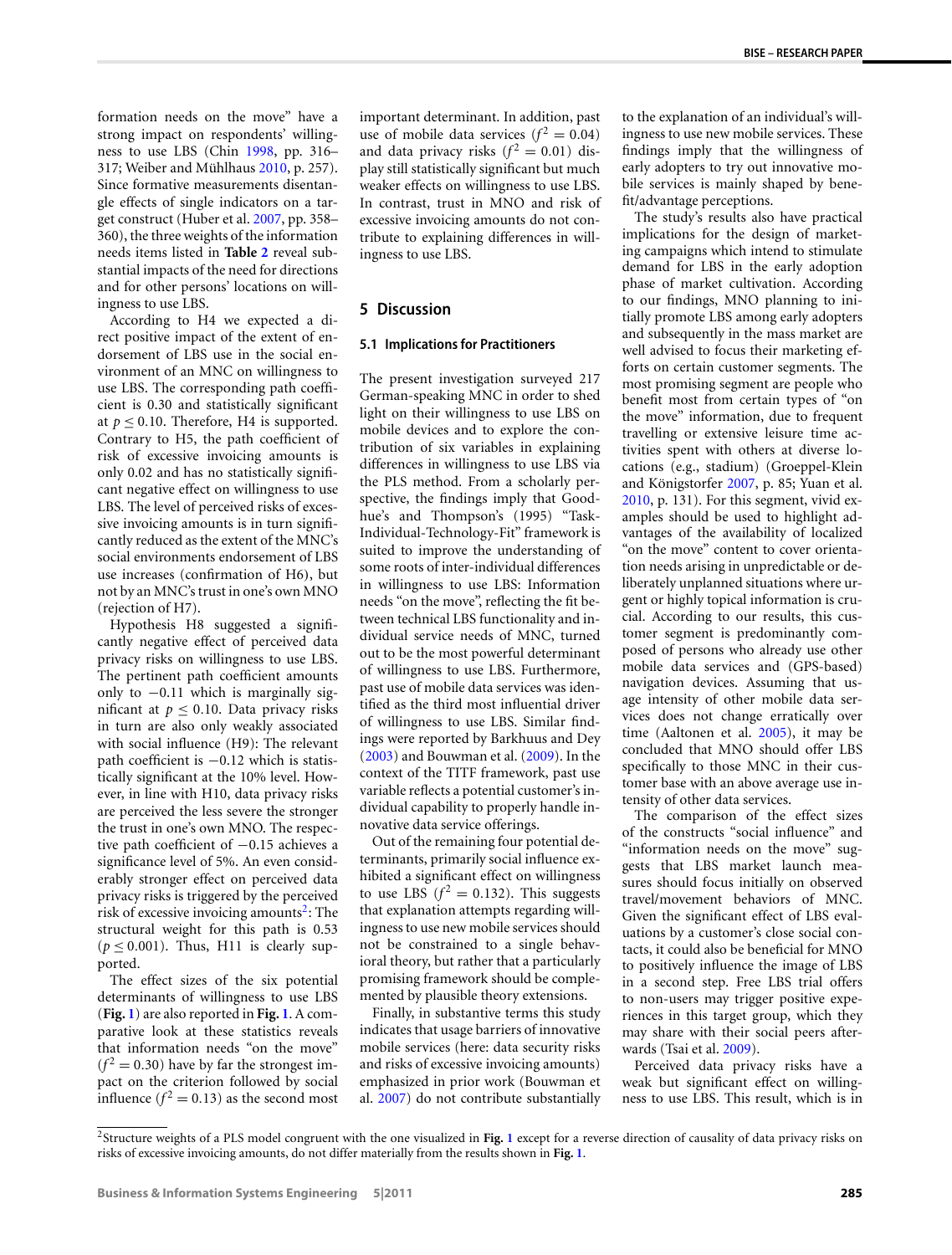formation needs on the move" have a strong impact on respondents' willingness to use LBS (Chin [1998](#page-8-28), pp. 316– 317; Weiber and Mühlhaus [2010](#page-8-29), p. 257). Since formative measurements disentangle effects of single indicators on a target construct (Huber et al. [2007](#page-8-33), pp. 358– 360), the three weights of the information needs items listed in **Table [2](#page-3-1)** reveal substantial impacts of the need for directions and for other persons' locations on willingness to use LBS.

According to H4 we expected a direct positive impact of the extent of endorsement of LBS use in the social environment of an MNC on willingness to use LBS. The corresponding path coefficient is 0.30 and statistically significant at  $p < 0.10$ . Therefore, H4 is supported. Contrary to H5, the path coefficient of risk of excessive invoicing amounts is only 0.02 and has no statistically significant negative effect on willingness to use LBS. The level of perceived risks of excessive invoicing amounts is in turn significantly reduced as the extent of the MNC's social environments endorsement of LBS use increases (confirmation of H6*)*, but not by an MNC's trust in one's own MNO (rejection of H7).

Hypothesis H8 suggested a significantly negative effect of perceived data privacy risks on willingness to use LBS. The pertinent path coefficient amounts only to −0.11 which is marginally significant at *p* ≤ 0*.*10. Data privacy risks in turn are also only weakly associated with social influence (H9): The relevant path coefficient is −0.12 which is statistically significant at the 10% level. However, in line with H10, data privacy risks are perceived the less severe the stronger the trust in one's own MNO. The respective path coefficient of −0.15 achieves a significance level of 5%. An even considerably stronger effect on perceived data privacy risks is triggered by the perceived risk of excessive invoicing amounts<sup>2</sup>: The structural weight for this path is 0.53  $(p < 0.001)$ . Thus, H11 is clearly supported.

<span id="page-6-0"></span>The effect sizes of the six potential determinants of willingness to use LBS (**Fig. [1](#page-5-0)**) are also reported in **Fig. [1](#page-5-0)**. A comparative look at these statistics reveals that information needs "on the move"  $(f^2 = 0.30)$  have by far the strongest impact on the criterion followed by social influence  $(f^2 = 0.13)$  as the second most important determinant. In addition, past use of mobile data services  $(f^2 = 0.04)$ and data privacy risks  $(f^2 = 0.01)$  display still statistically significant but much weaker effects on willingness to use LBS. In contrast, trust in MNO and risk of excessive invoicing amounts do not contribute to explaining differences in willingness to use LBS.

## **5 Discussion**

#### **5.1 Implications for Practitioners**

The present investigation surveyed 217 German-speaking MNC in order to shed light on their willingness to use LBS on mobile devices and to explore the contribution of six variables in explaining differences in willingness to use LBS via the PLS method. From a scholarly perspective, the findings imply that Goodhue's and Thompson's (1995) "Task-Individual-Technology-Fit" framework is suited to improve the understanding of some roots of inter-individual differences in willingness to use LBS: Information needs "on the move", reflecting the fit between technical LBS functionality and individual service needs of MNC, turned out to be the most powerful determinant of willingness to use LBS. Furthermore, past use of mobile data services was identified as the third most influential driver of willingness to use LBS. Similar findings were reported by Barkhuus and Dey [\(2003\)](#page-7-1) and Bouwman et al. [\(2009](#page-8-38)). In the context of the TITF framework, past use variable reflects a potential customer's individual capability to properly handle innovative data service offerings.

Out of the remaining four potential determinants, primarily social influence exhibited a significant effect on willingness to use LBS  $(f^2 = 0.132)$ . This suggests that explanation attempts regarding willingness to use new mobile services should not be constrained to a single behavioral theory, but rather that a particularly promising framework should be complemented by plausible theory extensions.

Finally, in substantive terms this study indicates that usage barriers of innovative mobile services (here: data security risks and risks of excessive invoicing amounts) emphasized in prior work (Bouwman et al. [2007\)](#page-8-39) do not contribute substantially

to the explanation of an individual's willingness to use new mobile services. These findings imply that the willingness of early adopters to try out innovative mobile services is mainly shaped by benefit/advantage perceptions.

The study's results also have practical implications for the design of marketing campaigns which intend to stimulate demand for LBS in the early adoption phase of market cultivation. According to our findings, MNO planning to initially promote LBS among early adopters and subsequently in the mass market are well advised to focus their marketing efforts on certain customer segments. The most promising segment are people who benefit most from certain types of "on the move" information, due to frequent travelling or extensive leisure time activities spent with others at diverse locations (e.g., stadium) (Groeppel-Klein and Königstorfer [2007,](#page-8-40) p. 85; Yuan et al. [2010](#page-8-14), p. 131). For this segment, vivid examples should be used to highlight advantages of the availability of localized "on the move" content to cover orientation needs arising in unpredictable or deliberately unplanned situations where urgent or highly topical information is crucial. According to our results, this customer segment is predominantly composed of persons who already use other mobile data services and (GPS-based) navigation devices. Assuming that usage intensity of other mobile data services does not change erratically over time (Aaltonen et al. [2005](#page-7-2)), it may be concluded that MNO should offer LBS specifically to those MNC in their customer base with an above average use intensity of other data services.

The comparison of the effect sizes of the constructs "social influence" and "information needs on the move" suggests that LBS market launch measures should focus initially on observed travel/movement behaviors of MNC. Given the significant effect of LBS evaluations by a customer's close social contacts, it could also be beneficial for MNO to positively influence the image of LBS in a second step. Free LBS trial offers to non-users may trigger positive experiences in this target group, which they may share with their social peers afterwards (Tsai et al. [2009](#page-8-7)).

Perceived data privacy risks have a weak but significant effect on willingness to use LBS. This result, which is in

<sup>2</sup>Structure weights of a PLS model congruent with the one visualized in **Fig. [1](#page-5-0)** except for a reverse direction of causality of data privacy risks on risks of excessive invoicing amounts, do not differ materially from the results shown in **Fig. [1](#page-5-0)**.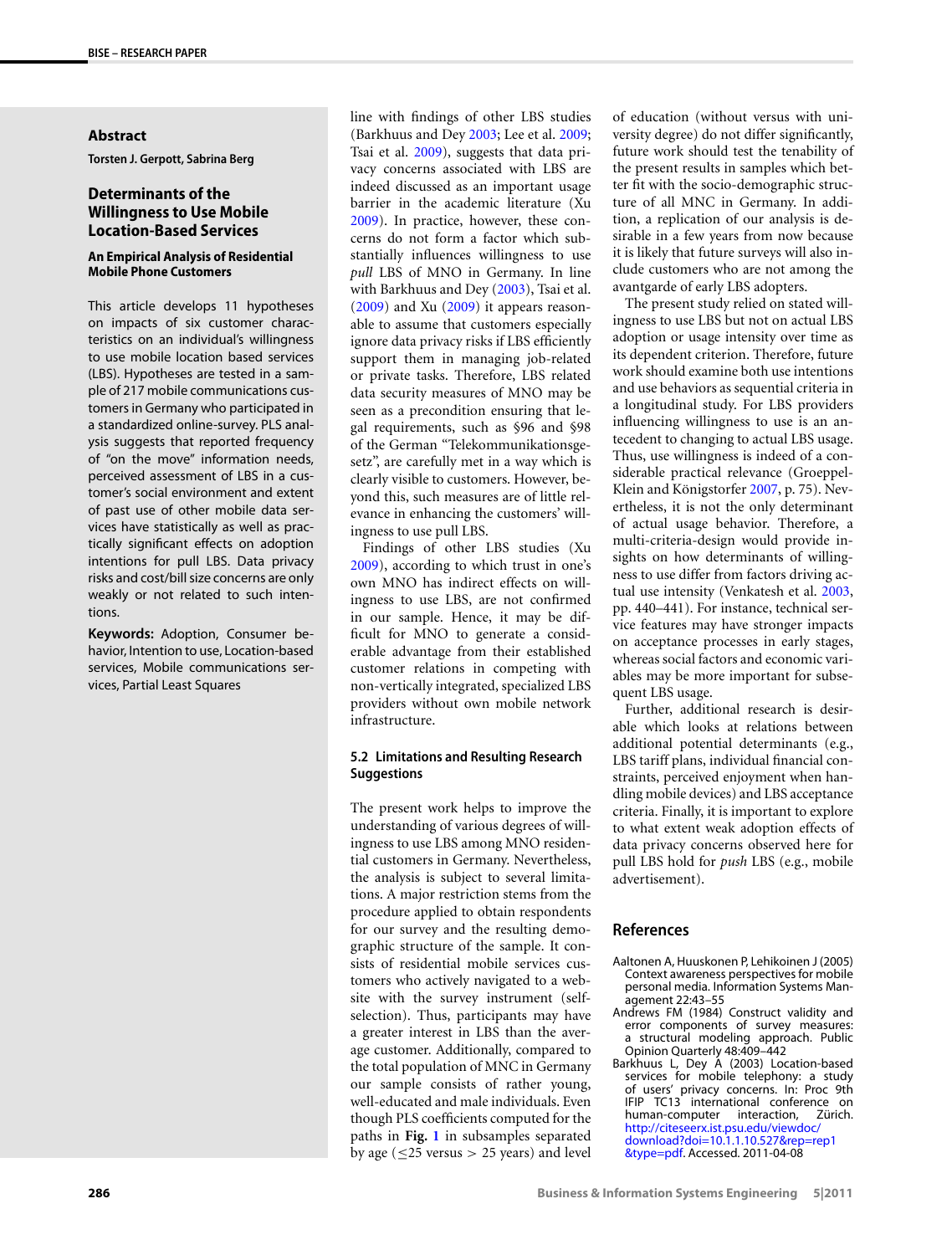#### **Abstract**

**Torsten J. Gerpott, Sabrina Berg**

## **Determinants of the Willingness to Use Mobile Location-Based Services**

#### **An Empirical Analysis of Residential Mobile Phone Customers**

This article develops 11 hypotheses on impacts of six customer characteristics on an individual's willingness to use mobile location based services (LBS). Hypotheses are tested in a sample of 217 mobile communications customers in Germany who participated in a standardized online-survey. PLS analysis suggests that reported frequency of "on the move" information needs, perceived assessment of LBS in a customer's social environment and extent of past use of other mobile data services have statistically as well as practically significant effects on adoption intentions for pull LBS. Data privacy risks and cost/bill size concerns are only weakly or not related to such intentions.

**Keywords:** Adoption, Consumer behavior, Intention to use, Location-based services, Mobile communications services, Partial Least Squares

line with findings of other LBS studies (Barkhuus and Dey [2003](#page-7-1); Lee et al. [2009;](#page-8-5) Tsai et al. [2009\)](#page-8-7), suggests that data privacy concerns associated with LBS are indeed discussed as an important usage barrier in the academic literature (Xu [2009](#page-8-41)). In practice, however, these concerns do not form a factor which substantially influences willingness to use *pull* LBS of MNO in Germany. In line with Barkhuus and Dey [\(2003\)](#page-7-1), Tsai et al.  $(2009)$  and Xu  $(2009)$  $(2009)$  it appears reasonable to assume that customers especially ignore data privacy risks if LBS efficiently support them in managing job-related or private tasks. Therefore, LBS related data security measures of MNO may be seen as a precondition ensuring that legal requirements, such as §96 and §98 of the German "Telekommunikationsgesetz", are carefully met in a way which is clearly visible to customers. However, beyond this, such measures are of little relevance in enhancing the customers' willingness to use pull LBS.

Findings of other LBS studies (Xu [2009](#page-8-41)), according to which trust in one's own MNO has indirect effects on willingness to use LBS, are not confirmed in our sample. Hence, it may be difficult for MNO to generate a considerable advantage from their established customer relations in competing with non-vertically integrated, specialized LBS providers without own mobile network infrastructure.

#### **5.2 Limitations and Resulting Research Suggestions**

<span id="page-7-2"></span>The present work helps to improve the understanding of various degrees of willingness to use LBS among MNO residential customers in Germany. Nevertheless, the analysis is subject to several limitations. A major restriction stems from the procedure applied to obtain respondents for our survey and the resulting demographic structure of the sample. It consists of residential mobile services customers who actively navigated to a website with the survey instrument (selfselection). Thus, participants may have a greater interest in LBS than the average customer. Additionally, compared to the total population of MNC in Germany our sample consists of rather young, well-educated and male individuals. Even though PLS coefficients computed for the paths in **Fig. [1](#page-5-0)** in subsamples separated by age ( $\leq$ 25 versus > 25 years) and level

of education (without versus with university degree) do not differ significantly, future work should test the tenability of the present results in samples which better fit with the socio-demographic structure of all MNC in Germany. In addition, a replication of our analysis is desirable in a few years from now because it is likely that future surveys will also include customers who are not among the avantgarde of early LBS adopters.

The present study relied on stated willingness to use LBS but not on actual LBS adoption or usage intensity over time as its dependent criterion. Therefore, future work should examine both use intentions and use behaviors as sequential criteria in a longitudinal study. For LBS providers influencing willingness to use is an antecedent to changing to actual LBS usage. Thus, use willingness is indeed of a considerable practical relevance (Groeppel-Klein and Königstorfer [2007](#page-8-40), p. 75). Nevertheless, it is not the only determinant of actual usage behavior. Therefore, a multi-criteria-design would provide insights on how determinants of willingness to use differ from factors driving actual use intensity (Venkatesh et al. [2003,](#page-8-42) pp. 440–441). For instance, technical service features may have stronger impacts on acceptance processes in early stages, whereas social factors and economic variables may be more important for subsequent LBS usage.

Further, additional research is desirable which looks at relations between additional potential determinants (e.g., LBS tariff plans, individual financial constraints, perceived enjoyment when handling mobile devices) and LBS acceptance criteria. Finally, it is important to explore to what extent weak adoption effects of data privacy concerns observed here for pull LBS hold for *push* LBS (e.g., mobile advertisement).

## <span id="page-7-1"></span><span id="page-7-0"></span>**References**

- Aaltonen A, Huuskonen P, Lehikoinen J (2005) Context awareness perspectives for mobile personal media. Information Systems Management 22:43–55
- Andrews FM (1984) Construct validity and error components of survey measures: a structural modeling approach. Public Opinion Quarterly 48:409–442
- Barkhuus L, Dey A (2003) Location-based services for mobile telephony: a study of users' privacy concerns. In: Proc 9th IFIP TC13 international conference on<br>human-computer interaction. Zürich. human-computer interaction. [http://citeseerx.ist.psu.edu/viewdoc/](http://citeseerx.ist.psu.edu/viewdoc/download?doi=10.1.1.10.527&rep=rep1&type=pdf) [download?doi=10.1.1.10.527&rep=rep1](http://citeseerx.ist.psu.edu/viewdoc/download?doi=10.1.1.10.527&rep=rep1&type=pdf) [&type=pdf](http://citeseerx.ist.psu.edu/viewdoc/download?doi=10.1.1.10.527&rep=rep1&type=pdf). Accessed. 2011-04-08